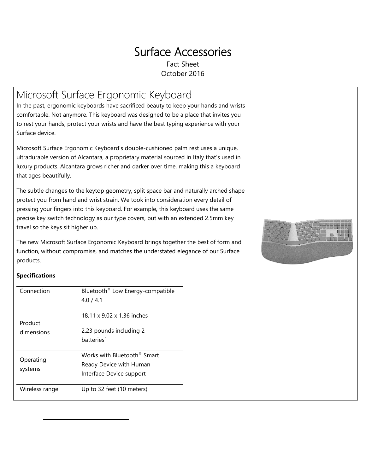# Surface Accessories

Fact Sheet October 2016

## Microsoft Surface Ergonomic Keyboard

In the past, ergonomic keyboards have sacrificed beauty to keep your hands and wrists comfortable. Not anymore. This keyboard was designed to be a place that invites you to rest your hands, protect your wrists and have the best typing experience with your Surface device.

Microsoft Surface Ergonomic Keyboard's double-cushioned palm rest uses a unique, ultradurable version of Alcantara, a proprietary material sourced in Italy that's used in luxury products. Alcantara grows richer and darker over time, making this a keyboard that ages beautifully.

The subtle changes to the keytop geometry, split space bar and naturally arched shape protect you from hand and wrist strain. We took into consideration every detail of pressing your fingers into this keyboard. For example, this keyboard uses the same precise key switch technology as our type covers, but with an extended 2.5mm key travel so the keys sit higher up.

The new Microsoft Surface Ergonomic Keyboard brings together the best of form and function, without compromise, and matches the understated elegance of our Surface products.



### **Specifications**

<span id="page-0-0"></span> $\overline{a}$ 

| Connection     | Bluetooth <sup>®</sup> Low Energy-compatible<br>4.0 / 4.1 |  |  |
|----------------|-----------------------------------------------------------|--|--|
| Product        | 18.11 x 9.02 x 1.36 inches                                |  |  |
| dimensions     | 2.23 pounds including 2                                   |  |  |
|                | batteries <sup>1</sup>                                    |  |  |
|                | Works with Bluetooth <sup>®</sup> Smart                   |  |  |
| Operating      | Ready Device with Human                                   |  |  |
| systems        | Interface Device support                                  |  |  |
| Wireless range | Up to 32 feet (10 meters)                                 |  |  |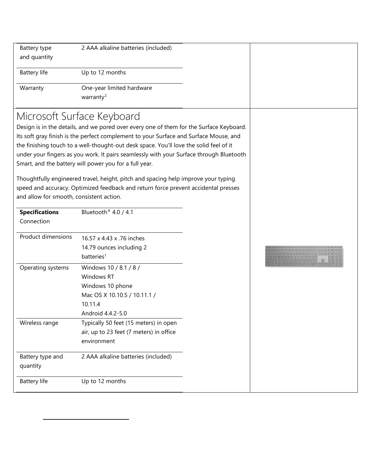| Battery type<br>and quantity             | 2 AAA alkaline batteries (included)                                                                                                                                                                                                                                                                                                                                                                                                                                                                                                                                                                                                       |  |
|------------------------------------------|-------------------------------------------------------------------------------------------------------------------------------------------------------------------------------------------------------------------------------------------------------------------------------------------------------------------------------------------------------------------------------------------------------------------------------------------------------------------------------------------------------------------------------------------------------------------------------------------------------------------------------------------|--|
| <b>Battery life</b>                      | Up to 12 months                                                                                                                                                                                                                                                                                                                                                                                                                                                                                                                                                                                                                           |  |
| Warranty                                 | One-year limited hardware<br>warranty <sup>2</sup>                                                                                                                                                                                                                                                                                                                                                                                                                                                                                                                                                                                        |  |
| and allow for smooth, consistent action. | Microsoft Surface Keyboard<br>Design is in the details, and we pored over every one of them for the Surface Keyboard.<br>Its soft gray finish is the perfect complement to your Surface and Surface Mouse, and<br>the finishing touch to a well-thought-out desk space. You'll love the solid feel of it<br>under your fingers as you work. It pairs seamlessly with your Surface through Bluetooth<br>Smart, and the battery will power you for a full year.<br>Thoughtfully engineered travel, height, pitch and spacing help improve your typing<br>speed and accuracy. Optimized feedback and return force prevent accidental presses |  |
| <b>Specifications</b>                    | Bluetooth <sup>®</sup> 4.0 / 4.1                                                                                                                                                                                                                                                                                                                                                                                                                                                                                                                                                                                                          |  |
| Connection                               |                                                                                                                                                                                                                                                                                                                                                                                                                                                                                                                                                                                                                                           |  |
| <b>Product dimensions</b>                | 16.57 x 4.43 x .76 inches<br>14.79 ounces including 2<br>batteries <sup>1</sup>                                                                                                                                                                                                                                                                                                                                                                                                                                                                                                                                                           |  |
| Operating systems                        | Windows 10 / 8.1 / 8 /<br><b>Windows RT</b><br>Windows 10 phone<br>Mac OS X 10.10.5 / 10.11.1 /<br>10.11.4<br>Android 4.4.2-5.0                                                                                                                                                                                                                                                                                                                                                                                                                                                                                                           |  |
| Wireless range                           | Typically 50 feet (15 meters) in open<br>air, up to 23 feet (7 meters) in office<br>environment                                                                                                                                                                                                                                                                                                                                                                                                                                                                                                                                           |  |
| Battery type and<br>quantity             | 2 AAA alkaline batteries (included)                                                                                                                                                                                                                                                                                                                                                                                                                                                                                                                                                                                                       |  |
| <b>Battery life</b>                      | Up to 12 months                                                                                                                                                                                                                                                                                                                                                                                                                                                                                                                                                                                                                           |  |

<span id="page-1-0"></span> $\overline{a}$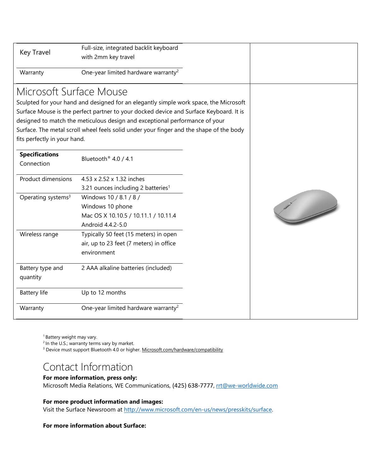| Key Travel                     | Full-size, integrated backlit keyboard<br>with 2mm key travel                           |  |
|--------------------------------|-----------------------------------------------------------------------------------------|--|
| Warranty                       | One-year limited hardware warranty <sup>2</sup>                                         |  |
| Microsoft Surface Mouse        |                                                                                         |  |
|                                | Sculpted for your hand and designed for an elegantly simple work space, the Microsoft   |  |
|                                | Surface Mouse is the perfect partner to your docked device and Surface Keyboard. It is  |  |
|                                | designed to match the meticulous design and exceptional performance of your             |  |
|                                | Surface. The metal scroll wheel feels solid under your finger and the shape of the body |  |
| fits perfectly in your hand.   |                                                                                         |  |
| <b>Specifications</b>          | Bluetooth <sup>®</sup> 4.0 / 4.1                                                        |  |
| Connection                     |                                                                                         |  |
| <b>Product dimensions</b>      | 4.53 x 2.52 x 1.32 inches                                                               |  |
|                                | 3.21 ounces including 2 batteries <sup>1</sup>                                          |  |
| Operating systems <sup>3</sup> | Windows 10 / 8.1 / 8 /                                                                  |  |
|                                | Windows 10 phone                                                                        |  |
|                                | Mac OS X 10.10.5 / 10.11.1 / 10.11.4                                                    |  |
|                                | Android 4.4.2-5.0                                                                       |  |
| Wireless range                 | Typically 50 feet (15 meters) in open                                                   |  |
|                                | air, up to 23 feet (7 meters) in office                                                 |  |
|                                | environment                                                                             |  |
| Battery type and               | 2 AAA alkaline batteries (included)                                                     |  |
| quantity                       |                                                                                         |  |
| <b>Battery life</b>            | Up to 12 months                                                                         |  |
| Warranty                       | One-year limited hardware warranty <sup>2</sup>                                         |  |

<sup>1</sup> Battery weight may vary.

<sup>2</sup> In the U.S.; warranty terms vary by market.

<sup>3</sup> Device must support Bluetooth 4.0 or higher[. Microsoft.com/hardware/compatibility](https://www.microsoft.com/accessories/en-us/support/compatibility)

### Contact Information

#### **For more information, press only:**

Microsoft Media Relations, WE Communications, (425) 638-7777, rtt@we-worldwide.com

### **For more product information and images:**

Visit the Surface Newsroom at [http://www.microsoft.com/en-us/news/presskits/surface.](http://www.microsoft.com/en-us/news/presskits/surface/)

### **For more information about Surface:**